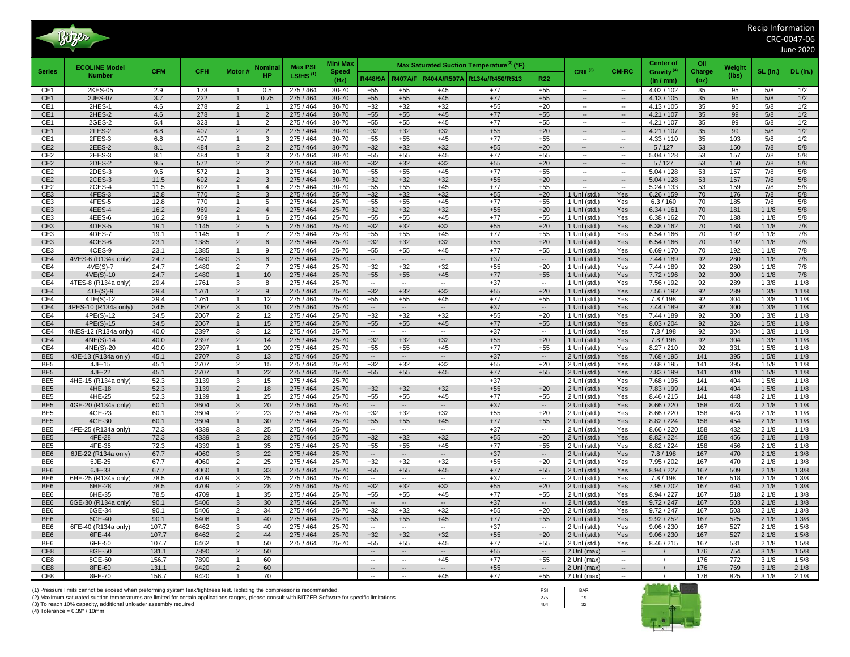|                                    | Bitzer >                      |                |              |                                  |                                  |                        |                      |                                                         |                                   |                                   |                                                       |                                   |                                                      |                                                      |                          |            |            | Recip Information | CRC-0047-06     |
|------------------------------------|-------------------------------|----------------|--------------|----------------------------------|----------------------------------|------------------------|----------------------|---------------------------------------------------------|-----------------------------------|-----------------------------------|-------------------------------------------------------|-----------------------------------|------------------------------------------------------|------------------------------------------------------|--------------------------|------------|------------|-------------------|-----------------|
|                                    |                               |                |              |                                  |                                  |                        |                      |                                                         |                                   |                                   |                                                       |                                   |                                                      |                                                      |                          |            |            |                   | June 2020       |
|                                    | <b>ECOLINE Model</b>          |                |              |                                  | Vominal                          | <b>Max PSI</b>         | Min/ Max             |                                                         |                                   |                                   | Max Saturated Suction Temperature <sup>(2)</sup> (°F) |                                   |                                                      |                                                      | <b>Center of</b>         | Oil        | Weight     |                   |                 |
| <b>Series</b>                      | <b>Number</b>                 | <b>CFM</b>     | <b>CFH</b>   | Motor #                          | <b>HP</b>                        | $LS/HS$ <sup>(1)</sup> | <b>Speed</b><br>(Hz) | R448/9A                                                 |                                   |                                   | R407A/F   R404A/R507A   R134a/R450/R513               | R <sub>22</sub>                   | CRII <sup>(3)</sup>                                  | <b>CM-RC</b>                                         | Gravity <sup>(4)</sup>   | Charge     | (lbs)      | <b>SL</b> (in.)   | <b>DL</b> (in.) |
| CE1                                | 2KES-05                       | 2.9            | 173          | $\overline{1}$                   | 0.5                              | 275 / 464              | 30-70                | $+55$                                                   | $+55$                             | $+45$                             | $+77$                                                 | $+55$                             | $\overline{\phantom{a}}$                             | $\overline{\phantom{a}}$                             | (in / mm)<br>4.02 / 102  | (oz)<br>35 | 95         | 5/8               | 1/2             |
| CE <sub>1</sub>                    | 2JES-07                       | 3.7            | 222          | $\overline{1}$                   | 0.75                             | 275 / 464              | $30 - 70$            | $+55$                                                   | $+55$                             | $+45$                             | $+77$                                                 | $+55$                             | $\sim$                                               | $\sim$                                               | 4.13 / 105               | 35         | 95         | 5/8               | 1/2             |
| CE <sub>1</sub>                    | 2HES-1                        | 4.6            | 278          | $\overline{2}$                   | $\overline{\mathbf{1}}$          | 275 / 464              | 30-70                | $+32$                                                   | $+32$                             | $+32$                             | $+55$                                                 | $+20$                             | $\overline{\phantom{a}}$                             | $\overline{\phantom{a}}$                             | 4.13 / 105               | 35         | 95         | 5/8               | 1/2             |
| CE <sub>1</sub>                    | 2HES-2                        | 4.6            | 278<br>323   | $\overline{1}$<br>$\overline{1}$ | $\overline{2}$<br>$\overline{2}$ | 275 / 464<br>275 / 464 | 30-70<br>30-70       | $+55$                                                   | $+55$                             | $+45$<br>$+45$                    | $+77$<br>$+77$                                        | $+55$                             | --<br>$\overline{\phantom{a}}$                       | $\overline{\phantom{a}}$<br>$\overline{\phantom{a}}$ | 4.21 / 107<br>4.21 / 107 | 35<br>35   | 99<br>99   | 5/8               | 1/2             |
| CE <sub>1</sub><br>CE <sub>1</sub> | 2GES-2<br>2FES-2              | 5.4<br>6.8     | 407          | $\overline{2}$                   | 2                                | 275 / 464              | 30-70                | $+55$<br>$+32$                                          | $+55$<br>$+32$                    | $+32$                             | $+55$                                                 | $+55$<br>$+20$                    | $\overline{\phantom{a}}$                             | $\overline{\phantom{a}}$                             | 4.21 / 107               | 35         | 99         | 5/8<br>5/8        | 1/2<br>1/2      |
| CE <sub>1</sub>                    | 2FES-3                        | 6.8            | 407          | $\overline{1}$                   | 3                                | 275 / 464              | 30-70                | $+55$                                                   | $+55$                             | $+45$                             | $+77$                                                 | $+55$                             | $\overline{\phantom{a}}$                             | $\overline{\phantom{a}}$                             | 4.33 / 110               | 35         | 103        | 5/8               | 1/2             |
| CE <sub>2</sub>                    | 2EES-2                        | 8.1            | 484          | $\overline{2}$                   | $\overline{2}$                   | 275 / 464              | 30-70                | $+32$                                                   | $+32$                             | $+32$                             | $+55$                                                 | $+20$                             |                                                      |                                                      | 5/127                    | 53         | 150        | 7/8               | 5/8             |
| CE <sub>2</sub>                    | 2EES-3                        | 8.1            | 484          | $\overline{1}$                   | 3                                | 275 / 464              | 30-70                | $+55$                                                   | $+55$                             | $+45$                             | $+77$                                                 | $+55$                             | $\overline{\phantom{a}}$                             | $\overline{\phantom{a}}$                             | 5.04 / 128               | 53         | 157        | 7/8               | 5/8             |
| CE <sub>2</sub><br>CE2             | 2DES-2<br>2DES-3              | 9.5<br>9.5     | 572<br>572   | $\overline{2}$<br>$\mathbf{1}$   | $\overline{2}$<br>3              | 275 / 464<br>275 / 464 | 30-70<br>30-70       | $+32$<br>$+55$                                          | $+32$<br>$+55$                    | $+32$<br>$+45$                    | $+55$<br>$+77$                                        | $+20$<br>$+55$                    | $\overline{\phantom{a}}$<br>$\overline{\phantom{a}}$ | $\overline{\phantom{a}}$<br>$\overline{\phantom{a}}$ | 5/127<br>5.04 / 128      | 53<br>53   | 150<br>157 | 7/8<br>7/8        | $5/8$<br>5/8    |
| CE <sub>2</sub>                    | 2CES-3                        | 11.5           | 692          | $\mathcal{P}$                    | 3                                | 275 / 464              | 30-70                | $+32$                                                   | $+32$                             | $+32$                             | $+55$                                                 | $+20$                             | $\overline{\phantom{a}}$                             | $\overline{\phantom{a}}$                             | 5.04 / 128               | 53         | 157        | 7/8               | 5/8             |
| CE2                                | 2CES-4                        | 11.5           | 692          |                                  | $\Delta$                         | 275/464                | 30-70                | $+55$                                                   | $+55$                             | $+45$                             | $+77$                                                 | $+55$                             |                                                      |                                                      | 5.24/133                 | 53         | 159        | 7/8               | 5/8             |
| CE <sub>3</sub><br>CE3             | 4FES-3<br>4FES-5              | 12.8<br>12.8   | 770<br>770   | $\overline{2}$<br>$\mathbf{1}$   | 3<br>5                           | 275 / 464<br>275 / 464 | $25 - 70$<br>25-70   | $+32$<br>$+55$                                          | $+32$<br>$+55$                    | $+32$<br>$+45$                    | $+55$<br>$+77$                                        | $+20$<br>$+55$                    | 1 Unl (std.)<br>$1$ Unl (std.)                       | Yes<br>Yes                                           | 6.26/159<br>6.3 / 160    | 70<br>70   | 176<br>185 | 7/8<br>7/8        | 5/8<br>5/8      |
| CE <sub>3</sub>                    | 4EES-4                        | 16.2           | 969          | $\overline{2}$                   | $\overline{4}$                   | 275 / 464              | 25-70                | $+32$                                                   | $+32$                             | $+32$                             | $+55$                                                 | $+20$                             | 1 Unl (std.)                                         | Yes                                                  | 6.34 / 161               | 70         | 181        | 11/8              | $5/8$           |
| CE3                                | 4EES-6                        | 16.2           | 969          | $\overline{1}$                   | 6                                | 275 / 464              | 25-70                | $+55$                                                   | $+55$                             | $+45$                             | $+77$                                                 | $+55$                             | $1$ Unl (std.)                                       | Yes                                                  | 6.38 / 162               | 70         | 188        | 11/8              | 5/8             |
| CE <sub>3</sub>                    | 4DES-5                        | 19.1           | 1145         | $\overline{2}$                   | 5                                | 275 / 464              | 25-70                | $+32$                                                   | $+32$                             | $+32$                             | $+55$                                                 | $+20$                             | 1 Unl (std.)                                         | Yes                                                  | 6.38 / 162               | 70         | 188        | 11/8              | 7/8             |
| CE3                                | 4DES-7                        | 19.1           | 1145         | $\overline{1}$                   | $\overline{7}$                   | 275 / 464              | 25-70                | $+55$                                                   | $+55$                             | $+45$                             | $+77$                                                 | $+55$                             | 1 Unl (std.)                                         | Yes                                                  | 6.54 / 166               | 70         | 192        | 11/8              | 7/8             |
| CE <sub>3</sub><br>CE3             | 4CES-6<br>4CES-9              | 23.1<br>23.1   | 1385<br>1385 | 2<br>$\overline{1}$              | 6<br>9                           | 275 / 464<br>275 / 464 | 25-70<br>25-70       | $+32$<br>$+55$                                          | $+32$<br>$+55$                    | $+32$<br>$+45$                    | $+55$<br>$+77$                                        | $+20$<br>$+55$                    | 1 Unl (std.)<br>1 Unl (std.)                         | Yes<br>Yes                                           | 6.54 / 166<br>6.69 / 170 | 70<br>70   | 192<br>192 | 11/8<br>11/8      | 7/8<br>7/8      |
| CE4                                | 4VES-6 (R134a only)           | 24.7           | 1480         | $\mathbf{3}$                     | $6\phantom{.}$                   | 275 / 464              | 25-70                | $\overline{\phantom{a}}$                                | $\overline{\phantom{a}}$          | $\overline{\phantom{a}}$          | $+37$                                                 | $\overline{\phantom{a}}$          | 1 Unl (std.)                                         | Yes                                                  | 7.44 / 189               | 92         | 280        | 11/8              | 7/8             |
| CE4                                | $4VE(S)-7$                    | 24.7           | 1480         | $\overline{2}$                   | $\overline{7}$                   | 275 / 464              | 25-70                | $+32$                                                   | $+32$                             | $+32$                             | $+55$                                                 | $+20$                             | 1 Uni (std.)                                         | Yes                                                  | 7.44 / 189               | 92         | 280        | 11/8              | 7/8             |
| CE4                                | 4VE(S)-10                     | 24.7           | 1480         | $\mathbf{1}$                     | $10$                             | 275 / 464              | 25-70                | $+55$                                                   | $+55$                             | $+45$                             | $+77$                                                 | $+55$                             | 1 Unl (std.)                                         | Yes                                                  | 7.72/196                 | 92         | 300        | 11/8              | 7/8             |
| CE4                                | 4TES-8 (R134a only)           | 29.4           | 1761         | 3<br>$\mathcal{P}$               | 8                                | 275 / 464              | 25-70                | $\overline{\phantom{a}}$                                | $\overline{\phantom{a}}$          | $\overline{\phantom{a}}$          | $+37$                                                 | $\sim$                            | 1 Unl (std.)                                         | Yes                                                  | 7.56 / 192               | 92         | 289        | 13/8              | 11/8            |
| CE4<br>CE4                         | $4TE(S)-9$<br>4TE(S)-12       | 29.4<br>29.4   | 1761<br>1761 | $\overline{1}$                   | 9<br>12                          | 275 / 464<br>275 / 464 | 25-70<br>25-70       | $+32$<br>$+55$                                          | $+32$<br>$+55$                    | $+32$<br>$+45$                    | $+55$<br>$+77$                                        | $+20$<br>$+55$                    | 1 Unl (std.)<br>1 Unl (std.)                         | Yes<br>Yes                                           | 7.56 / 192<br>7.8 / 198  | 92<br>92   | 289<br>304 | 13/8<br>13/8      | 11/8<br>11/8    |
| CE4                                | 4PES-10 (R134a only)          | 34.5           | 2067         | $\mathbf{3}$                     | 10                               | 275 / 464              | 25-70                | $\overline{\phantom{a}}$                                | --                                |                                   | $+37$                                                 | $\overline{\phantom{a}}$          | 1 Unl (std.)                                         | Yes                                                  | 7.44 / 189               | 92         | 300        | 13/8              | 11/8            |
| CE4                                | 4PE(S)-12                     | 34.5           | 2067         | $\overline{2}$                   | 12                               | 275 / 464              | 25-70                | $+32$                                                   | $+32$                             | $+32$                             | $+55$                                                 | $+20$                             | 1 Unl (std.)                                         | Yes                                                  | 7.44 / 189               | 92         | 300        | 13/8              | 11/8            |
| CE4                                | 4PE(S)-15                     | 34.5           | 2067         | $\overline{1}$                   | 15                               | 275 / 464              | 25-70                | $+55$                                                   | $+55$                             | $+45$                             | $+77$                                                 | $+55$                             | 1 Unl (std.)                                         | Yes                                                  | 8.03 / 204               | 92         | 324        | 15/8              | 11/8            |
| CE4                                | 4NES-12 (R134a only)          | 40.0<br>40.0   | 2397<br>2397 | 3<br>$\overline{2}$              | 12<br>14                         | 275 / 464<br>275 / 464 | 25-70<br>25-70       | $\sim$<br>$+32$                                         | $\sim$<br>$+32$                   | $\overline{\phantom{a}}$<br>$+32$ | $+37$<br>$+55$                                        | $\overline{\phantom{a}}$<br>$+20$ | 1 Unl (std.)                                         | Yes                                                  | 7.8 / 198<br>7.8 / 198   | 92<br>92   | 304<br>304 | 13/8<br>13/8      | 11/8<br>11/8    |
| CE4<br>CE4                         | 4NE(S)-14<br>4NE(S)-20        | 40.0           | 2397         | $\overline{1}$                   | 20                               | 275 / 464              | 25-70                | $+55$                                                   | $+55$                             | $+45$                             | $+77$                                                 | $+55$                             | 1 Unl (std.)<br>1 Uni (std.)                         | Yes<br>Yes                                           | 8.27 / 210               | 92         | 331        | 15/8              | 11/8            |
| BE <sub>5</sub>                    | 4JE-13 (R134a only)           | 45.1           | 2707         | 3                                | 13                               | 275 / 464              | 25-70                | $\overline{\phantom{a}}$                                | $\overline{\phantom{a}}$          | $\overline{\phantom{a}}$          | $+37$                                                 | $\overline{\phantom{a}}$          | 2 Unl (std.)                                         | Yes                                                  | 7.68 / 195               | 141        | 395        | 15/8              | 11/8            |
| BE <sub>5</sub>                    | 4JE-15                        | 45.1           | 2707         | $\overline{2}$                   | 15                               | 275 / 464              | 25-70                | $+32$                                                   | $+32$                             | $+32$                             | $+55$                                                 | $+20$                             | 2 Unl (std.)                                         | Yes                                                  | 7.68 / 195               | 141        | 395        | 15/8              | 11/8            |
| BE <sub>5</sub>                    | 4JE-22                        | 45.1           | 2707         | $\overline{1}$                   | 22                               | 275 / 464              | 25-70                | $+55$                                                   | $+55$                             | $+45$                             | $+77$                                                 | $+55$                             | 2 Unl (std.)                                         | Yes                                                  | 7.83 / 199               | 141        | 419        | 15/8              | 11/8            |
| BE <sub>5</sub><br>BE <sub>5</sub> | 4HE-15 (R134a only)<br>4HE-18 | 52.3<br>52.3   | 3139<br>3139 | 3<br>$\overline{2}$              | 15<br>18                         | 275 / 464<br>275 / 464 | 25-70<br>$25 - 70$   | $+32$                                                   | $+32$                             | $+32$                             | $+37$<br>$+55$                                        | $+20$                             | 2 Unl (std.)<br>2 Unl (std.)                         | Yes<br>Yes                                           | 7.68 / 195<br>7.83 / 199 | 141<br>141 | 404<br>404 | 15/8<br>15/8      | 11/8<br>11/8    |
| BE <sub>5</sub>                    | 4HE-25                        | 52.3           | 3139         | $\overline{1}$                   | 25                               | 275 / 464              | 25-70                | $+55$                                                   | $+55$                             | $+45$                             | $+77$                                                 | $+55$                             | 2 Unl (std.)                                         | Yes                                                  | 8.46 / 215               | 141        | 448        | 21/8              | 11/8            |
| BE <sub>5</sub>                    | 4GE-20 (R134a only)           | 60.1           | 3604         | $\mathbf{3}$                     | 20                               | 275 / 464              | 25-70                | $\overline{\phantom{a}}$                                | $\overline{\phantom{a}}$          | $\overline{\phantom{a}}$          | $+37$                                                 | $\overline{\phantom{a}}$          | 2 Unl (std.)                                         | Yes                                                  | 8.66 / 220               | 158        | 423        | 21/8              | 11/8            |
| BE <sub>5</sub>                    | 4GE-23                        | 60.1           | 3604         | $\overline{2}$                   | 23                               | 275 / 464              | 25-70                | $+32$                                                   | $+32$                             | $+32$                             | $+55$                                                 | $+20$                             | 2 Unl (std.)                                         | Yes                                                  | 8.66 / 220               | 158        | 423        | 21/8              | 11/8            |
| BE <sub>5</sub>                    | 4GE-30                        | 60.1           | 3604         | $\overline{1}$                   | 30                               | 275 / 464              | 25-70                | $+55$                                                   | $+55$                             | $+45$                             | $+77$                                                 | $+55$                             | 2 Unl (std.)                                         | Yes                                                  | 8.82 / 224               | 158        | 454        | 21/8              | 11/8            |
| BE <sub>5</sub><br>BE <sub>5</sub> | 4FE-25 (R134a only)<br>4FE-28 | 72.3<br>72.3   | 4339<br>4339 | 3<br>$\overline{2}$              | 25<br>28                         | 275 / 464<br>275 / 464 | 25-70<br>25-70       | $\overline{\phantom{a}}$<br>$+32$                       | $\overline{\phantom{a}}$<br>$+32$ | $\overline{\phantom{a}}$<br>$+32$ | $+37$<br>$+55$                                        | $\overline{\phantom{a}}$<br>$+20$ | 2 Unl (std.)<br>$2$ Unl (std.)                       | Yes<br>Yes                                           | 8.66 / 220<br>8.82 / 224 | 158<br>158 | 432<br>456 | 21/8<br>21/8      | 11/8<br>11/8    |
| BE <sub>5</sub>                    | 4FE-35                        | 72.3           | 4339         | $\overline{1}$                   | 35                               | 275 / 464              | 25-70                | $+55$                                                   | $+55$                             | $+45$                             | $+77$                                                 | $+55$                             | 2 Unl (std.)                                         | Yes                                                  | 8.82 / 224               | 158        | 456        | 21/8              | 11/8            |
| BE <sub>6</sub>                    | 6JE-22 (R134a only)           | 67.7           | 4060         | 3                                | 22                               | 275 / 464              | 25-70                | $\overline{\phantom{a}}$                                | $\overline{\phantom{a}}$          | $\overline{\phantom{a}}$          | $+37$                                                 | $\overline{\phantom{a}}$          | 2 Unl (std.)                                         | Yes                                                  | 7.8/198                  | 167        | 470        | 21/8              | 13/8            |
| BE <sub>6</sub>                    | 6JE-25                        | 67.7           | 4060         | $\overline{2}$                   | 25                               | 275 / 464              | 25-70                | $+32$                                                   | $+32$                             | $+32$                             | $+55$                                                 | $+20$                             | 2 Unl (std.)                                         | Yes                                                  | 7.95 / 202               | 167        | 470        | 21/8              | 13/8            |
| BE <sub>6</sub>                    | 6JE-33                        | 67.7           | 4060         | $\overline{1}$                   | 33                               | 275 / 464              | 25-70                | $+55$                                                   | $+55$                             | $+45$                             | $+77$                                                 | +55                               | 2 Unl (std.)                                         | Yes                                                  | 8.94 / 227               | 167        | 509        | 21/8              | 13/8            |
| BE <sub>6</sub><br>BE <sub>6</sub> | 6HE-25 (R134a only)<br>6HE-28 | 78.5<br>78.5   | 4709<br>4709 | 3<br>$\overline{2}$              | 25<br>28                         | 275 / 464<br>275 / 464 | 25-70<br>25-70       | $\overline{\phantom{a}}$<br>$+32$                       | $\overline{\phantom{a}}$<br>$+32$ | $\overline{\phantom{a}}$<br>$+32$ | $+37$<br>$+55$                                        | $\overline{\phantom{a}}$<br>$+20$ | 2 Uni (std.)<br>2 Unl (std.)                         | Yes<br>Yes                                           | 7.8 / 198<br>7.95 / 202  | 167<br>167 | 518<br>494 | 21/8<br>21/8      | 13/8<br>13/8    |
| BE <sub>6</sub>                    | 6HE-35                        | 78.5           | 4709         | $\overline{1}$                   | 35                               | 275 / 464              | 25-70                | $+55$                                                   | $+55$                             | $+45$                             | $+77$                                                 | +55                               | 2 Unl (std.)                                         | Yes                                                  | 8.94 / 227               | 167        | 518        | 21/8              | 13/8            |
| BE <sub>6</sub>                    | 6GE-30 (R134a only)           | 90.1           | 5406         | $\mathbf{3}$                     | 30                               | 275 / 464              | 25-70                | $\overline{\phantom{a}}$                                | $\sim$                            | $\ddotsc$                         | $+37$                                                 | $\overline{\phantom{a}}$          | 2 Unl (std.)                                         | Yes                                                  | 9.72 / 247               | 167        | 503        | 21/8              | 13/8            |
| BE <sub>6</sub>                    | 6GE-34                        | 90.1           | 5406         | $\overline{2}$                   | 34                               | 275 / 464              | 25-70                | $+32$                                                   | $+32$                             | $+32$                             | $+55$                                                 | $+20$                             | 2 Unl (std.)                                         | Yes                                                  | 9.72 / 247               | 167        | 503        | 21/8              | 13/8            |
| BE <sub>6</sub>                    | 6GE-40                        | 90.1           | 5406         | $\overline{1}$                   | 40                               | 275 / 464              | 25-70                | $+55$                                                   | $+55$                             | $+45$                             | $+77$                                                 | $+55$                             | 2 Uni (std.)                                         | Yes                                                  | 9.92 / 252               | 167        | 525        | 21/8              | 13/8            |
| BE <sub>6</sub><br>BE <sub>6</sub> | 6FE-40 (R134a only)<br>6FE-44 | 107.7<br>107.7 | 6462<br>6462 | 3<br>$\overline{2}$              | 40<br>44                         | 275 / 464<br>275 / 464 | 25-70<br>25-70       | $\hspace{0.1mm}-\hspace{0.1mm}-\hspace{0.1mm}$<br>$+32$ | $\overline{\phantom{a}}$<br>$+32$ | $\overline{\phantom{a}}$<br>$+32$ | $+37$<br>$+55$                                        | $\overline{\phantom{a}}$<br>$+20$ | 2 Unl (std.)<br>2 Unl (std.)                         | Yes<br>Yes                                           | 9.06 / 230<br>9.06 / 230 | 167<br>167 | 527<br>527 | 21/8<br>21/8      | 15/8<br>15/8    |
| BE <sub>6</sub>                    | 6FE-50                        | 107.7          | 6462         | $\overline{1}$                   | 50                               | 275 / 464              | 25-70                | $+55$                                                   | $+55$                             | $+45$                             | $+77$                                                 | $+55$                             | 2 Uni (std.)                                         | Yes                                                  | 8.46 / 215               | 167        | 531        | 21/8              | 15/8            |
| CE <sub>8</sub>                    | 8GE-50                        | 131.1          | 7890         | $\overline{2}$                   | 50                               |                        |                      | $\sim$                                                  | $\sim$                            | $\sim$                            | $+55$                                                 | $\overline{\phantom{a}}$          | 2 Unl (max)                                          | $\overline{\phantom{a}}$                             |                          | 176        | 754        | 31/8              | 15/8            |
| CE8                                | 8GE-60                        | 156.7          | 7890         | $\mathbf{1}$                     | 60                               |                        |                      |                                                         |                                   | $+45$                             | $+77$                                                 | $+55$                             | 2 Unl (max)                                          | $\overline{\phantom{a}}$                             |                          | 176        | 772        | 31/8              | 15/8            |
| CE8                                | 8FE-60                        | 131.1          | 9420         | $\overline{2}$                   | 60                               |                        |                      | $\overline{\phantom{a}}$                                | --                                | $\overline{\phantom{a}}$          | $+55$                                                 | $\overline{\phantom{a}}$          | 2 Unl (max)                                          | $\overline{\phantom{a}}$                             |                          | 176        | 769        | 31/8              | 21/8            |
| CE8                                | 8FE-70                        | 156.7          | 9420         | $\overline{1}$                   | 70                               |                        |                      | $\overline{\phantom{a}}$                                | $\overline{\phantom{a}}$          | $+45$                             | $+77$                                                 | +55                               | 2 Unl (max)                                          | $\overline{\phantom{a}}$                             |                          | 176        | 825        | 31/8              | 21/8            |

(1) Pressure limits cannot be exceed when preforming system leak/tightness test. Isolating the compressor is recommended.<br>(2) Maximum saturated suction temperatures are limited for certain applications ranges, please consu



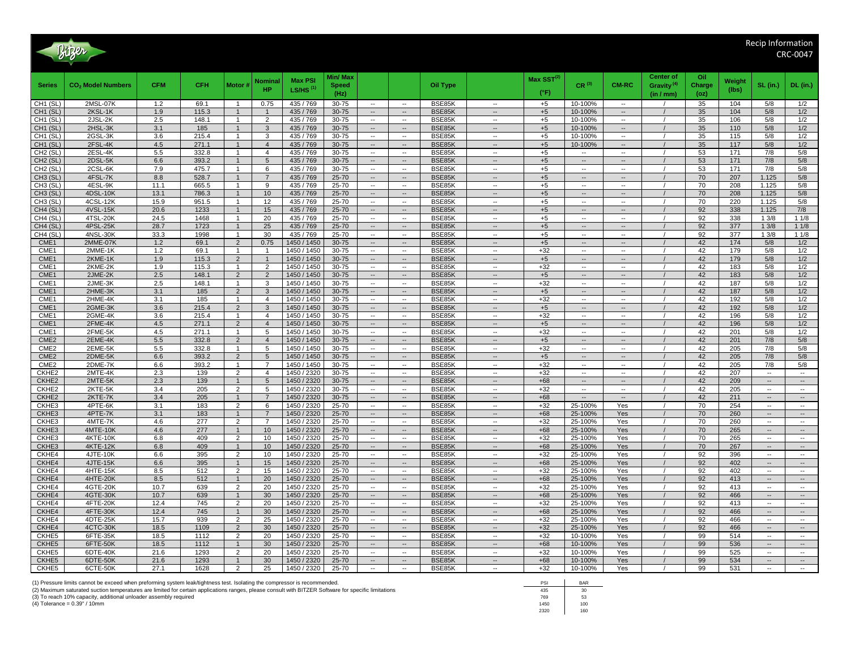

|                      |                                    |              |              |                                  | Nominal         | <b>Max PSI</b>             | Min/ Max             |                                                                                            |                  |                                                      | Max $\text{SST}^{(2)}$ |                                                      |                                    | Center of                           | Oil            | Weight     |                                                      |                                    |
|----------------------|------------------------------------|--------------|--------------|----------------------------------|-----------------|----------------------------|----------------------|--------------------------------------------------------------------------------------------|------------------|------------------------------------------------------|------------------------|------------------------------------------------------|------------------------------------|-------------------------------------|----------------|------------|------------------------------------------------------|------------------------------------|
| <b>Series</b>        | CO <sub>2</sub> Model Numbers      | <b>CFM</b>   | <b>CFH</b>   | Motor #                          | <b>HP</b>       | LS/HS $(1)$                | <b>Speed</b><br>(Hz) |                                                                                            | Oil Type         |                                                      | $(^{\circ}F)$          | $CR^{(3)}$                                           | <b>CM-RC</b>                       | Gravity <sup>(4)</sup><br>(in / mm) | Charge<br>(oz) | (lbs)      | SL (in.)                                             | <b>DL</b> (in.)                    |
| CH1(SL)              | 2MSL-07K                           | 1.2          | 69.1         |                                  | 0.75            | 435 / 769                  | 30-75                | $\overline{\phantom{a}}$<br>$\overline{\phantom{a}}$                                       | BSE85K           |                                                      | $+5$                   | 10-100%                                              | $\overline{\phantom{a}}$           |                                     | 35             | 104        | 5/8                                                  | 1/2                                |
| CH1 (SL)             | 2KSL-1K                            | 1.9          | 115.3        | $\mathbf{1}$                     | $\overline{1}$  | 435 / 769                  | 30-75                | $\overline{\phantom{a}}$<br>$\overline{\phantom{a}}$                                       | BSE85K           | $\overline{\phantom{a}}$                             | $+5$                   | 10-100%                                              | $\overline{\phantom{a}}$           |                                     | 35             | 104        | 5/8                                                  | 1/2                                |
| CH1 (SL)             | 2JSL-2K                            | 2.5          | 148.1        | $\overline{1}$                   | $\overline{2}$  | 435 / 769                  | 30-75                | $\overline{\phantom{a}}$<br>$\overline{\phantom{a}}$                                       | BSE85K           | $\overline{\phantom{a}}$                             | $+5$                   | 10-100%                                              | $\overline{a}$                     |                                     | 35             | 106        | 5/8                                                  | 1/2                                |
| CH1 (SL)             | 2HSL-3K                            | 3.1          | 185          | $\overline{1}$                   | $\mathbf{3}$    | 435 / 769                  | 30-75                | $\overline{\phantom{a}}$<br>$\overline{\phantom{a}}$                                       | BSE85K           | $\overline{\phantom{a}}$                             | $+5$                   | 10-100%                                              | $\overline{\phantom{a}}$           |                                     | 35             | 110        | 5/8                                                  | 1/2                                |
| CH <sub>1</sub> (SL) | 2GSL-3K                            | 3.6          | 215.4        | $\overline{1}$                   | 3               | 435 / 769                  | 30-75                | $\overline{\phantom{a}}$<br>$\overline{\phantom{a}}$                                       | BSE85K           | $\overline{\phantom{a}}$                             | $+5$                   | 10-100%                                              | $\overline{\phantom{a}}$           |                                     | 35             | 115        | 5/8                                                  | 1/2                                |
| CH <sub>1</sub> (SL) | 2FSL-4K                            | 4.5          | 271.1        |                                  | $\overline{4}$  | 435 / 769                  | 30-75                |                                                                                            | BSE85K           |                                                      | $+5$                   | 10-100%                                              |                                    |                                     | 35             | 117        | 5/8                                                  | 1/2                                |
| CH <sub>2</sub> (SL) | 2ESL-4K                            | 5.5          | 332.8        | -1                               | $\overline{4}$  | 435 / 769                  | 30-75                | $\overline{\phantom{a}}$<br>$\overline{\phantom{a}}$                                       | BSE85K           | --                                                   | $+5$                   | −−                                                   | $\overline{\phantom{a}}$           |                                     | 53             | 171        | 7/8                                                  | 5/8                                |
| CH <sub>2</sub> (SL) | 2DSL-5K                            | 6.6          | 393.2        |                                  | 5               | 435 / 769                  | 30-75                | $\sim$<br>$\sim$                                                                           | BSE85K           | $\overline{\phantom{a}}$                             | $+5$                   | $\overline{a}$                                       | $\overline{a}$                     |                                     | 53             | 171        | 7/8                                                  | 5/8                                |
| CH <sub>2</sub> (SL) | 2CSL-6K                            | 7.9          | 475.7        | $\overline{1}$                   | 6               | 435 / 769                  | 30-75                | $\overline{\phantom{a}}$<br>$\overline{\phantom{a}}$                                       | BSE85K           | $\overline{\phantom{a}}$                             | $+5$                   | $\overline{\phantom{a}}$                             | $\overline{\phantom{a}}$           |                                     | 53             | 171        | 7/8                                                  | 5/8                                |
| CH <sub>3</sub> (SL) | 4FSL-7K                            | 8.8          | 528.7        | $\overline{1}$                   | $\overline{7}$  | 435 / 769                  | 25-70                | $\sim$<br>$\overline{\phantom{a}}$                                                         | BSE85K           | $\overline{\phantom{a}}$                             | $+5$                   | $\overline{a}$                                       | $\overline{a}$                     |                                     | 70             | 207        | 1.125                                                | 5/8                                |
| CH3 (SL)             | 4ESL-9K                            | 11.1         | 665.5        | $\overline{1}$                   | 9               | 435 / 769                  | 25-70                | $\overline{\phantom{a}}$<br>$\overline{\phantom{a}}$                                       | BSE85K           | $\overline{\phantom{a}}$                             | $+5$                   | $\overline{\phantom{a}}$                             | $\overline{\phantom{a}}$           |                                     | 70             | 208        | 1.125                                                | 5/8                                |
| CH <sub>3</sub> (SL) | 4DSL-10K                           | 13.1         | 786.3        | $\overline{1}$                   | 10              | 435 / 769                  | 25-70                | $\overline{\phantom{a}}$<br>$\overline{\phantom{a}}$                                       | BSE85K           | $\overline{\phantom{a}}$                             | $+5$                   | $\overline{\phantom{a}}$                             | $\overline{\phantom{a}}$           |                                     | 70             | 208        | 1.125                                                | 5/8                                |
| CH3 (SL)             | 4CSL-12K                           | 15.9         | 951.5        | $\overline{1}$                   | 12              | 435 / 769                  | 25-70                | $\overline{\phantom{a}}$                                                                   | BSE85K           | $\overline{\phantom{a}}$                             | $+5$                   |                                                      | $\overline{a}$                     |                                     | 70             | 220        | 1.125                                                | 5/8                                |
| CH4 (SL)             | 4VSL-15K                           | 20.6         | 1233         |                                  | 15              | 435 / 769                  | 25-70                | $\overline{\phantom{a}}$<br>$\overline{\phantom{a}}$                                       | BSE85K           | $\overline{\phantom{a}}$                             | $+5$                   | --                                                   | $\overline{\phantom{a}}$           |                                     | 92             | 338        | 1.125                                                | 7/8                                |
| CH4 (SL)             | 4TSL-20K                           | 24.5<br>28.7 | 1468         | $\overline{1}$                   | 20<br>25        | 435 / 769                  | 25-70                | $\overline{\phantom{a}}$<br>$\overline{\phantom{a}}$                                       | BSE85K           | $\overline{\phantom{a}}$                             | $+5$                   | $\overline{a}$                                       | $\overline{a}$                     |                                     | 92<br>92       | 338<br>377 | 13/8                                                 | 11/8                               |
| CH4 (SL)<br>CH4 (SL) | 4PSL-25K<br>4NSL-30K               | 33.3         | 1723<br>1998 | $\mathbf{1}$                     | 30              | 435 / 769<br>435 / 769     | 25-70<br>25-70       | $\overline{\phantom{a}}$<br>$\overline{\phantom{a}}$<br>$\overline{\phantom{a}}$<br>$\sim$ | BSE85K<br>BSE85K | $\overline{\phantom{a}}$<br>$\overline{\phantom{a}}$ | $+5$<br>$+5$           | $\overline{\phantom{a}}$<br>$\overline{\phantom{a}}$ | $\overline{\phantom{a}}$<br>$\sim$ |                                     | 92             | 377        | 13/8<br>13/8                                         | 11/8<br>11/8                       |
| CME1                 | 2MME-07K                           | 1.2          | 69.1         | $\overline{2}$                   | 0.75            | 1450 / 1450                | 30-75                | $\overline{\phantom{a}}$<br>$\overline{\phantom{a}}$                                       | BSE85K           | $\overline{\phantom{a}}$                             | $+5$                   | --                                                   | $\overline{\phantom{a}}$           |                                     | 42             | 174        | 5/8                                                  | 1/2                                |
| CME1                 | 2MME-1K                            | 1.2          | 69.1         | $\mathbf{1}$                     | $\overline{1}$  | 1450 / 1450                | 30-75                | $\overline{\phantom{a}}$<br>$\overline{\phantom{a}}$                                       | BSE85K           | $\overline{\phantom{a}}$                             | $+32$                  | $\overline{\phantom{a}}$                             | $\overline{\phantom{a}}$           |                                     | 42             | 179        | 5/8                                                  | 1/2                                |
| CME1                 | 2KME-1K                            | 1.9          | 115.3        | $\overline{2}$                   | $\mathbf{1}$    | 1450 / 1450                | 30-75                | $\overline{\phantom{a}}$<br>$\overline{\phantom{a}}$                                       | BSE85K           | $\overline{\phantom{a}}$                             | $+5$                   | $\overline{\phantom{a}}$                             | $\overline{\phantom{a}}$           |                                     | 42             | 179        | 5/8                                                  | 1/2                                |
| CME1                 | 2KME-2K                            | 1.9          | 115.3        | $\mathbf{1}$                     | $\overline{2}$  | 1450 / 1450                | 30-75                | $\overline{\phantom{a}}$<br>$\overline{\phantom{a}}$                                       | BSE85K           | $\overline{\phantom{a}}$                             | $+32$                  | $\overline{\phantom{a}}$                             | $\overline{\phantom{a}}$           |                                     | 42             | 183        | 5/8                                                  | 1/2                                |
| CME1                 | 2JME-2K                            | 2.5          | 148.1        | 2                                | $\overline{2}$  | 1450 / 1450                | 30-75                | $\overline{\phantom{a}}$<br>$\overline{\phantom{a}}$                                       | BSE85K           | $\overline{\phantom{a}}$                             | $+5$                   | $\overline{\phantom{a}}$                             | $\overline{\phantom{a}}$           |                                     | 42             | 183        | 5/8                                                  | 1/2                                |
| CME1                 | 2JME-3K                            | 2.5          | 148.1        | $\overline{1}$                   | 3               | 1450 / 1450                | 30-75                | $\overline{\phantom{a}}$<br>$\overline{\phantom{a}}$                                       | BSE85K           | $\overline{\phantom{a}}$                             | $+32$                  | $\overline{\phantom{a}}$                             | $\overline{\phantom{a}}$           |                                     | 42             | 187        | 5/8                                                  | 1/2                                |
| CME1                 | 2HME-3K                            | 3.1          | 185          | $\overline{2}$                   | 3               | 1450 / 1450                | 30-75                | $\overline{\phantom{a}}$<br>$\overline{\phantom{a}}$                                       | BSE85K           | $\overline{\phantom{a}}$                             | $+5$                   | $\overline{\phantom{a}}$                             | $\overline{\phantom{a}}$           |                                     | 42             | 187        | 5/8                                                  | 1/2                                |
| CME <sub>1</sub>     | 2HME-4K                            | 3.1          | 185          | $\overline{1}$                   | $\overline{4}$  | 1450 / 1450                | 30-75                | $\overline{\phantom{a}}$<br>$\overline{\phantom{a}}$                                       | BSE85K           | $\sim$                                               | $+32$                  | $\overline{a}$                                       | $\sim$                             |                                     | 42             | 192        | 5/8                                                  | 1/2                                |
| CME1                 | 2GME-3K                            | 3.6          | 215.4        | $\overline{2}$                   | $\mathbf{3}$    | 1450 / 1450                | 30-75                | $\overline{\phantom{a}}$<br>$\overline{\phantom{a}}$                                       | BSE85K           | $\overline{\phantom{a}}$                             | $+5$                   | $\overline{\phantom{a}}$                             | $\overline{\phantom{a}}$           |                                     | 42             | 192        | 5/8                                                  | 1/2                                |
| CME1                 | 2GME-4K                            | 3.6          | 215.4        | $\overline{1}$                   | $\overline{4}$  | 1450 / 1450                | 30-75                | $\overline{\phantom{a}}$<br>$\overline{\phantom{a}}$                                       | BSE85K           | $\overline{\phantom{a}}$                             | $+32$                  | $\overline{a}$                                       | $\overline{\phantom{a}}$           |                                     | 42             | 196        | 5/8                                                  | 1/2                                |
| CME1                 | 2FME-4K                            | 4.5          | 271.1        | $\overline{2}$                   | $\overline{4}$  | 1450 / 1450                | 30-75                | $\overline{\phantom{a}}$<br>$\overline{\phantom{a}}$                                       | BSE85K           | $\overline{\phantom{a}}$                             | $+5$                   | $\overline{\phantom{a}}$                             | $\overline{\phantom{a}}$           |                                     | 42             | 196        | 5/8                                                  | 1/2                                |
| CME <sub>1</sub>     | 2FME-5K                            | 4.5          | 271.1        | $\mathbf{1}$                     | 5               | 1450 / 1450                | 30-75                | $\overline{\phantom{a}}$<br>$\overline{\phantom{a}}$                                       | BSE85K           | $\overline{\phantom{a}}$                             | $+32$                  | $\overline{\phantom{a}}$                             | $\overline{\phantom{a}}$           |                                     | 42             | 201        | 5/8                                                  | 1/2                                |
| CME <sub>2</sub>     | 2EME-4K                            | 5.5          | 332.8        | $\overline{2}$                   | $\overline{4}$  | 1450 / 1450                | $30 - 75$            | $\overline{\phantom{a}}$<br>$\overline{\phantom{a}}$                                       | BSE85K           | $\overline{\phantom{a}}$                             | $+5$                   | $\overline{\phantom{a}}$                             | --                                 |                                     | 42             | 201        | 7/8                                                  | 5/8                                |
| CME <sub>2</sub>     | 2EME-5K                            | 5.5          | 332.8        | -1                               | 5               | 1450 / 1450                | 30-75                | $\overline{\phantom{a}}$<br>$\overline{\phantom{a}}$                                       | BSE85K           | $\overline{\phantom{a}}$                             | $+32$                  | --                                                   | $\overline{\phantom{a}}$           |                                     | 42             | 205        | 7/8                                                  | 5/8                                |
| CME <sub>2</sub>     | 2DME-5K                            | 6.6          | 393.2        | $\overline{2}$                   | $5\phantom{.0}$ | 1450 / 1450                | 30-75                | $\overline{\phantom{a}}$<br>$\overline{\phantom{a}}$                                       | BSE85K           | $\overline{\phantom{a}}$                             | $+5$                   | $\overline{a}$                                       | $\overline{\phantom{a}}$           |                                     | 42             | 205        | 7/8                                                  | 5/8                                |
| CME <sub>2</sub>     | 2DME-7K                            | 6.6          | 393.2        | $\mathbf{1}$                     | $\overline{7}$  | 1450 / 1450                | 30-75                | $\overline{\phantom{a}}$<br>$\overline{\phantom{a}}$                                       | BSE85K           | $\overline{\phantom{a}}$                             | $+32$                  | $\overline{\phantom{a}}$                             | $\overline{\phantom{a}}$           |                                     | 42             | 205        | 7/8                                                  | 5/8                                |
| CKHE2                | 2MTE-4K                            | 2.3          | 139          | $\overline{2}$                   | $\overline{4}$  | 1450 / 2320                | 30-75                | $\overline{\phantom{a}}$<br>$\sim$                                                         | BSE85K           | $\sim$                                               | $+32$                  | $\overline{\phantom{a}}$                             | $\overline{\phantom{a}}$           |                                     | 42             | 207        | $\overline{\phantom{a}}$                             | $\overline{\phantom{a}}$           |
| CKHE2                | 2MTE-5K                            | 2.3          | 139          | $\overline{1}$                   | 5               | 1450 / 2320                | 30-75                | $\overline{\phantom{a}}$<br>$\overline{\phantom{a}}$                                       | BSE85K           | $\overline{\phantom{a}}$                             | $+68$                  | --                                                   | $\overline{\phantom{a}}$           |                                     | 42             | 209        | $\overline{\phantom{a}}$                             | $\overline{\phantom{a}}$           |
| CKHE2                | 2KTE-5K                            | 3.4          | 205          | $\overline{2}$                   | 5               | 1450 / 2320                | 30-75                | $\overline{\phantom{a}}$<br>$\overline{\phantom{a}}$                                       | BSE85K           | $\overline{\phantom{a}}$                             | $+32$                  | $\overline{\phantom{a}}$                             | $\overline{\phantom{a}}$           |                                     | 42             | 205        | $\overline{\phantom{a}}$                             | $\overline{\phantom{a}}$           |
| CKHE2                | 2KTE-7K                            | 3.4          | 205          |                                  | $\overline{7}$  | 1450 / 2320                | 30-75                | $\overline{\phantom{a}}$                                                                   | BSE85K           |                                                      | $+68$                  |                                                      | $\overline{\phantom{a}}$           |                                     | 42             | 211        | $\overline{\phantom{a}}$                             |                                    |
| CKHE3                | 4PTE-6K                            | 3.1          | 183          | $\overline{2}$                   | 6               | 1450 / 2320                | $25 - 70$            | $\overline{\phantom{a}}$<br>$\overline{\phantom{a}}$                                       | BSE85K           | $\overline{\phantom{a}}$                             | $+32$                  | 25-100%                                              | Yes                                |                                     | 70             | 254        | $\overline{\phantom{a}}$                             | $\overline{\phantom{a}}$           |
| CKHE3                | 4PTE-7K                            | 3.1          | 183          | $\overline{1}$                   | $\overline{7}$  | 1450 / 2320                | 25-70                | $\overline{\phantom{a}}$<br>$\overline{\phantom{a}}$                                       | BSE85K           | $\overline{\phantom{a}}$                             | $+68$                  | 25-100%                                              | Yes                                |                                     | 70             | 260        | $\overline{\phantom{a}}$                             |                                    |
| CKHE3                | 4MTE-7K                            | 4.6          | 277          | $\overline{2}$                   | $\overline{7}$  | 1450 / 2320                | 25-70                | $-$<br>$\overline{a}$                                                                      | BSE85K           | $\overline{\phantom{a}}$                             | $+32$                  | 25-100%                                              | Yes                                |                                     | 70             | 260        | $\overline{\phantom{a}}$                             | $\overline{\phantom{a}}$           |
| CKHE3<br>CKHE3       | <b>4MTE-10K</b>                    | 4.6<br>6.8   | 277<br>409   | $\overline{1}$<br>$\overline{2}$ | 10              | 1450 / 2320<br>1450 / 2320 | 25-70<br>25-70       | $\sim$<br>$\sim$<br>$\overline{\phantom{a}}$<br>$\overline{\phantom{a}}$                   | BSE85K<br>BSE85K | $\overline{a}$<br>$\overline{\phantom{a}}$           | $+68$<br>$+32$         | 25-100%                                              | Yes<br>Yes                         |                                     | 70<br>70       | 265<br>265 | $\overline{\phantom{a}}$<br>$\overline{\phantom{a}}$ | $\sim$<br>$\overline{\phantom{a}}$ |
| CKHE3                | <b>4KTE-10K</b><br><b>4KTE-12K</b> | 6.8          | 409          | -1                               | 10<br>10        | 1450 / 2320                | $25 - 70$            | $\overline{\phantom{a}}$<br>$\overline{\phantom{a}}$                                       | BSE85K           | $\overline{\phantom{a}}$                             | $+68$                  | 25-100%<br>25-100%                                   | Yes                                |                                     | 70             | 267        | $\overline{\phantom{a}}$                             | $\overline{\phantom{a}}$           |
| CKHE4                | 4JTE-10K                           | 6.6          | 395          | $\overline{2}$                   | 10              | 1450 / 2320                | 25-70                | $\overline{\phantom{a}}$<br>$\overline{\phantom{a}}$                                       | BSE85K           | $\overline{\phantom{a}}$                             | $+32$                  | 25-100%                                              | Yes                                |                                     | 92             | 396        | $\overline{\phantom{a}}$                             | $\overline{\phantom{a}}$           |
| CKHE4                | 4JTE-15K                           | 6.6          | 395          |                                  | 15              | 1450 / 2320                | 25-70                | $\overline{\phantom{a}}$<br>$\overline{\phantom{a}}$                                       | BSE85K           | $\overline{\phantom{a}}$                             | $+68$                  | 25-100%                                              | Yes                                |                                     | 92             | 402        | $\overline{\phantom{a}}$                             | $\overline{\phantom{a}}$           |
| CKHE4                | 4HTE-15K                           | 8.5          | 512          | $\overline{2}$                   | 15              | 1450 / 2320                | 25-70                | $\overline{\phantom{a}}$<br>$\overline{\phantom{a}}$                                       | BSE85K           | $\overline{\phantom{a}}$                             | $+32$                  | 25-100%                                              | Yes                                |                                     | 92             | 402        | $\overline{\phantom{a}}$                             | $\overline{\phantom{a}}$           |
| CKHE4                | 4HTE-20K                           | 8.5          | 512          |                                  | 20              | 1450 / 2320                | 25-70                | $\overline{\phantom{a}}$<br>$\overline{\phantom{a}}$                                       | BSE85K           | $\overline{\phantom{a}}$                             | $+68$                  | 25-100%                                              | Yes                                |                                     | 92             | 413        | $\overline{\phantom{a}}$                             | $\overline{\phantom{a}}$           |
| CKHE4                | 4GTE-20K                           | 10.7         | 639          | 2                                | 20              | 1450 / 2320                | 25-70                | $\overline{\phantom{a}}$<br>$\overline{\phantom{a}}$                                       | BSE85K           | $\overline{\phantom{a}}$                             | $+32$                  | 25-100%                                              | Yes                                |                                     | 92             | 413        | $\overline{\phantom{a}}$                             | $\mathbf{L}$                       |
| CKHE4                | 4GTE-30K                           | 10.7         | 639          |                                  | 30              | 1450 / 2320                | 25-70                | $\overline{\phantom{a}}$                                                                   | BSE85K           |                                                      | $+68$                  | 25-100%                                              | Yes                                |                                     | 92             | 466        | $\overline{\phantom{a}}$                             |                                    |
| CKHE4                | 4FTE-20K                           | 12.4         | 745          | $\overline{2}$                   | 20              | 1450 / 2320                | 25-70                | $\overline{\phantom{a}}$<br>$\overline{\phantom{a}}$                                       | BSE85K           | $\overline{\phantom{a}}$                             | $+32$                  | 25-100%                                              | Yes                                |                                     | 92             | 413        | $\overline{\phantom{a}}$                             | $\overline{\phantom{a}}$           |
| CKHE4                | 4FTE-30K                           | 12.4         | 745          | $\mathbf{1}$                     | 30              | 1450 / 2320                | 25-70                | $\overline{\phantom{a}}$<br>$\overline{\phantom{a}}$                                       | BSE85K           | $\overline{\phantom{a}}$                             | $+68$                  | 25-100%                                              | Yes                                | $\prime$                            | 92             | 466        | $\overline{\phantom{a}}$                             | $\ddotsc$                          |
| CKHE4                | 4DTE-25K                           | 15.7         | 939          | $\overline{2}$                   | 25              | 1450 / 2320                | 25-70                | $\overline{\phantom{a}}$<br>$\overline{\phantom{a}}$                                       | BSE85K           | $\overline{\phantom{a}}$                             | $+32$                  | 25-100%                                              | Yes                                |                                     | 92             | 466        | $\overline{\phantom{a}}$                             | $\overline{\phantom{a}}$           |
| CKHE4                | 4CTC-30K                           | 18.5         | 1109         | 2                                | 30              | 1450 / 2320                | 25-70                | $\sim$<br>$\sim$                                                                           | BSE85K           | $\overline{a}$                                       | $+32$                  | 25-100%                                              | Yes                                |                                     | 92             | 466        | $\sim$                                               | $\sim$                             |
| CKHE5                | 6FTE-35K                           | 18.5         | 1112         | $\overline{2}$                   | 20              | 1450 / 2320                | 25-70                | $\overline{\phantom{a}}$<br>$\overline{\phantom{a}}$                                       | BSE85K           | $\overline{\phantom{a}}$                             | $+32$                  | 10-100%                                              | Yes                                |                                     | 99             | 514        | $\overline{\phantom{a}}$                             | $\overline{\phantom{a}}$           |
| CKHE5                | 6FTE-50K                           | 18.5         | 1112         | -1                               | 30              | 1450 / 2320                | $25 - 70$            | $\sim$<br>$\overline{\phantom{a}}$                                                         | BSE85K           | $\overline{\phantom{a}}$                             | $+68$                  | 10-100%                                              | Yes                                |                                     | 99             | 536        | $\overline{\phantom{a}}$                             | $\overline{\phantom{a}}$           |
| CKHE5                | 6DTE-40K                           | 21.6         | 1293         | $\mathcal{P}$                    | 20              | 1450 / 2320                | 25-70                | $\overline{\phantom{a}}$<br>$\sim$                                                         | BSE85K           | $\overline{\phantom{a}}$                             | $+32$                  | 10-100%                                              | Yes                                |                                     | 99             | 525        | $\overline{\phantom{a}}$                             | $\overline{\phantom{a}}$           |
| CKHE5                | 6DTE-50K                           | 21.6         | 1293         |                                  | 30              | 1450 / 2320                | 25-70                | --                                                                                         | BSE85K           | $\overline{\phantom{a}}$                             | $+68$                  | 10-100%                                              | Yes                                |                                     | 99             | 534        | $\overline{\phantom{a}}$                             | $\overline{\phantom{a}}$           |
| CKHE5                | 6CTE-50K                           | 27.1         | 1628         | $\overline{2}$                   | 25              | 1450 / 2320                | 25-70                | $\overline{\phantom{a}}$<br>$\overline{\phantom{a}}$                                       | BSE85K           |                                                      | $+32$                  | 10-100%                                              | Yes                                |                                     | 99             | 531        | $\overline{\phantom{a}}$                             |                                    |

2320 160

(1) Pressure limits cannot be exceed when preforming system leak/tightness test. Isolating the compressor is recommended.<br>(2) Maximum saturated suction temperatures are limited for certain applications ranges, please consu